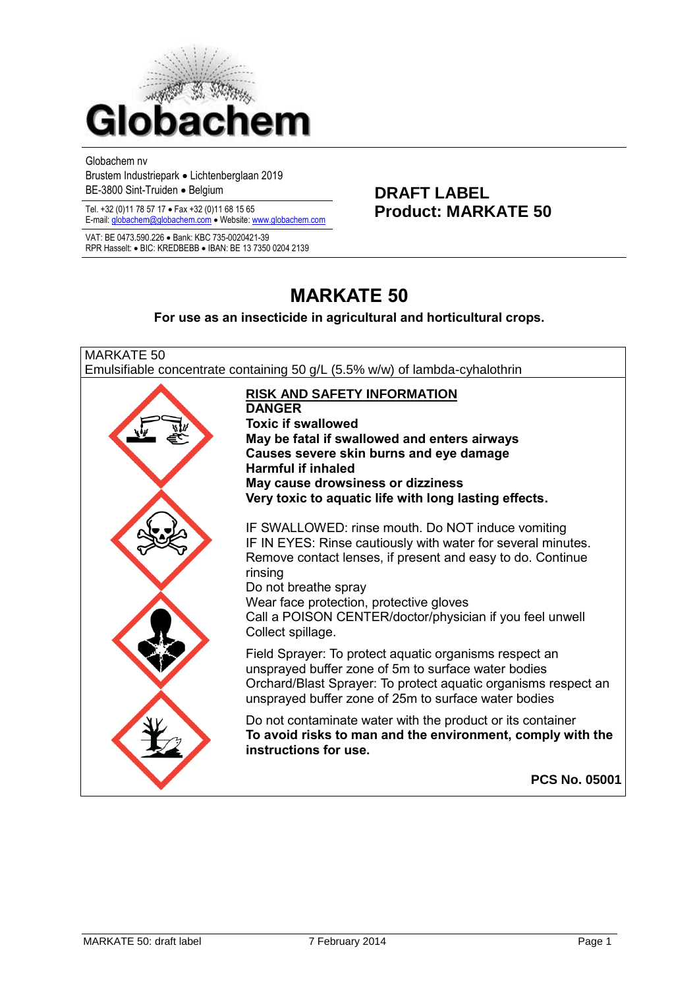

Globachem nv

Brustem Industriepark Lichtenberglaan 2019 BE-3800 Sint-Truiden • Belgium **DRAFT LABEL** 

Tel. +32 (0)11 78 57 17 • Fax +32 (0)11 68 15 65<br> **Product: MARKATE 50** E-mail[: globachem@globachem.com](mailto:globachem@globachem.com) . Website[: www.globachem.com](mailto:globachem@globachem.com)

VAT: BE 0473.590.226 Bank: KBC 735-0020421-39 RPR Hasselt: • BIC: KREDBEBB • IBAN: BE 13 7350 0204 2139

# **MARKATE 50**

#### **For use as an insecticide in agricultural and horticultural crops.**

MARKATE 50 Emulsifiable concentrate containing 50 g/L (5.5% w/w) of lambda-cyhalothrin **RISK AND SAFETY INFORMATION DANGER Toxic if swallowed May be fatal if swallowed and enters airways Causes severe skin burns and eye damage Harmful if inhaled May cause drowsiness or dizziness Very toxic to aquatic life with long lasting effects.** IF SWALLOWED: rinse mouth. Do NOT induce vomiting IF IN EYES: Rinse cautiously with water for several minutes. Remove contact lenses, if present and easy to do. Continue rinsing Do not breathe spray Wear face protection, protective gloves Call a POISON CENTER/doctor/physician if you feel unwell Collect spillage. Field Sprayer: To protect aquatic organisms respect an unsprayed buffer zone of 5m to surface water bodies Orchard/Blast Sprayer: To protect aquatic organisms respect an unsprayed buffer zone of 25m to surface water bodies Do not contaminate water with the product or its container **To avoid risks to man and the environment, comply with the instructions for use. PCS No. 05001**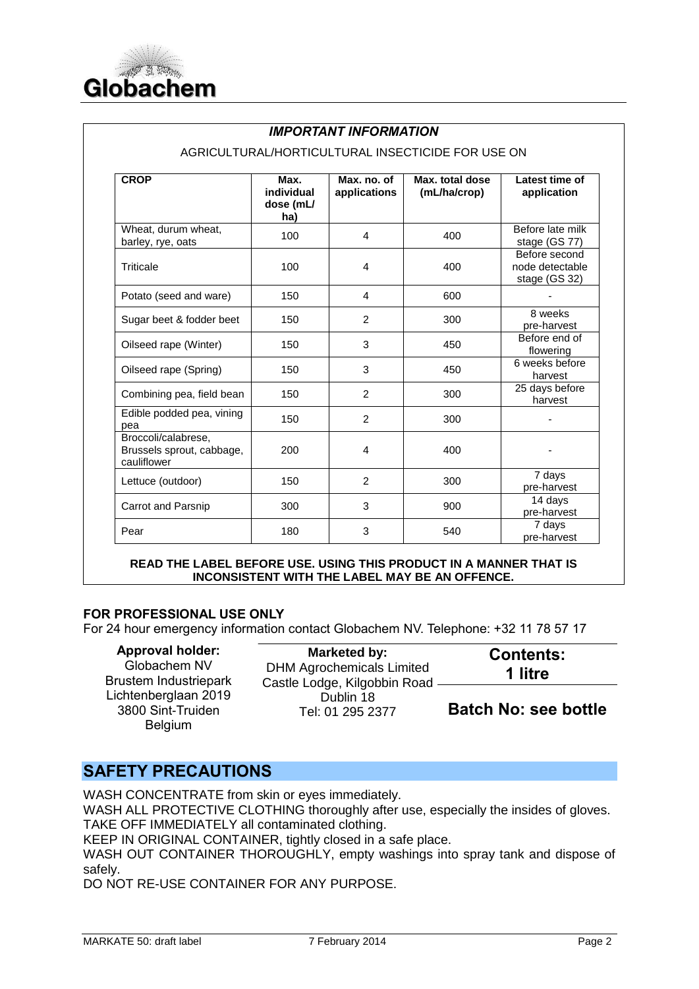

### *IMPORTANT INFORMATION*

| <b>CROP</b>                                                     | Max.<br>individual<br>dose (mL/<br>ha) | Max. no. of<br>applications | Max. total dose<br>(mL/ha/crop) | Latest time of<br>application                     |
|-----------------------------------------------------------------|----------------------------------------|-----------------------------|---------------------------------|---------------------------------------------------|
| Wheat, durum wheat,<br>barley, rye, oats                        | 100                                    | 4                           | 400                             | Before late milk<br>stage (GS 77)                 |
| Triticale                                                       | 100                                    | 4                           | 400                             | Before second<br>node detectable<br>stage (GS 32) |
| Potato (seed and ware)                                          | 150                                    | 4                           | 600                             |                                                   |
| Sugar beet & fodder beet                                        | 150                                    | 2                           | 300                             | 8 weeks<br>pre-harvest                            |
| Oilseed rape (Winter)                                           | 150                                    | 3                           | 450                             | Before end of<br>flowering                        |
| Oilseed rape (Spring)                                           | 150                                    | 3                           | 450                             | 6 weeks before<br>harvest                         |
| Combining pea, field bean                                       | 150                                    | 2                           | 300                             | 25 days before<br>harvest                         |
| Edible podded pea, vining<br>pea                                | 150                                    | 2                           | 300                             |                                                   |
| Broccoli/calabrese,<br>Brussels sprout, cabbage,<br>cauliflower | 200                                    | 4                           | 400                             |                                                   |
| Lettuce (outdoor)                                               | 150                                    | $\overline{2}$              | 300                             | 7 days<br>pre-harvest                             |
| Carrot and Parsnip                                              | 300                                    | 3                           | 900                             | 14 days<br>pre-harvest                            |
| Pear                                                            | 180                                    | 3                           | 540                             | 7 days<br>pre-harvest                             |

#### AGRICULTURAL/HORTICULTURAL INSECTICIDE FOR USE ON

**READ THE LABEL BEFORE USE. USING THIS PRODUCT IN A MANNER THAT IS INCONSISTENT WITH THE LABEL MAY BE AN OFFENCE.** 

### **FOR PROFESSIONAL USE ONLY**

For 24 hour emergency information contact Globachem NV. Telephone: +32 11 78 57 17

| <b>Approval holder:</b><br>Globachem NV                     | Marketed by:<br><b>DHM Agrochemicals Limited</b> | <b>Contents:</b><br>1 litre |  |
|-------------------------------------------------------------|--------------------------------------------------|-----------------------------|--|
| Brustem Industriepark                                       | Castle Lodge, Kilgobbin Road                     |                             |  |
| Lichtenberglaan 2019<br>3800 Sint-Truiden<br><b>Belgium</b> | Dublin 18<br>Tel: 01 295 2377                    | <b>Batch No: see bottle</b> |  |

## **SAFETY PRECAUTIONS**

WASH CONCENTRATE from skin or eyes immediately.

WASH ALL PROTECTIVE CLOTHING thoroughly after use, especially the insides of gloves. TAKE OFF IMMEDIATELY all contaminated clothing.

KEEP IN ORIGINAL CONTAINER, tightly closed in a safe place.

WASH OUT CONTAINER THOROUGHLY, empty washings into spray tank and dispose of safely.

DO NOT RE-USE CONTAINER FOR ANY PURPOSE.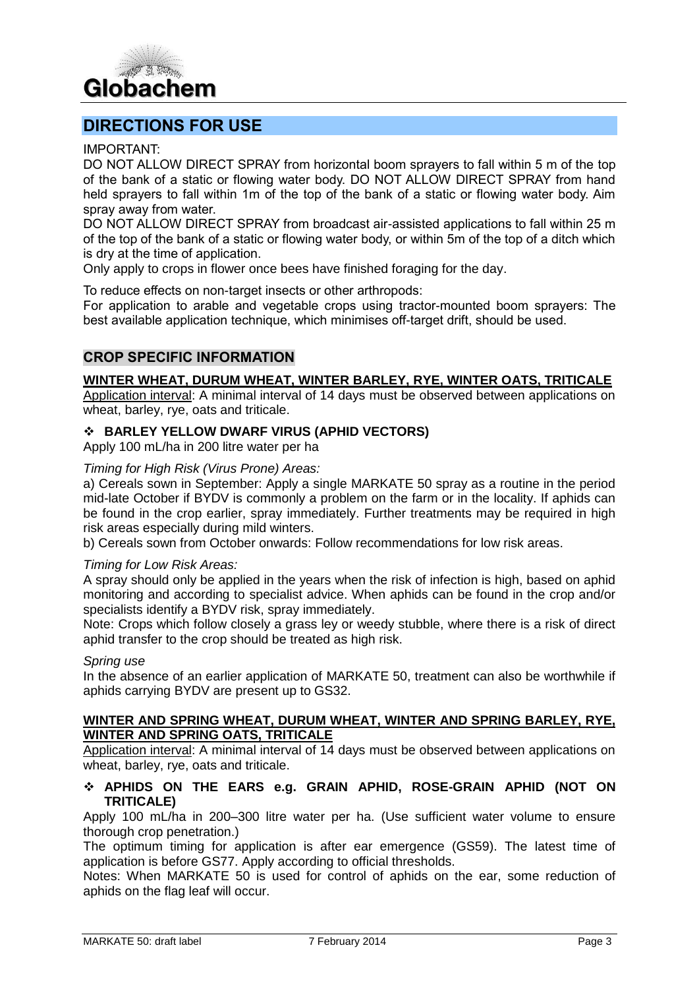

## **DIRECTIONS FOR USE**

IMPORTANT:

DO NOT ALLOW DIRECT SPRAY from horizontal boom sprayers to fall within 5 m of the top of the bank of a static or flowing water body. DO NOT ALLOW DIRECT SPRAY from hand held sprayers to fall within 1m of the top of the bank of a static or flowing water body. Aim spray away from water.

DO NOT ALLOW DIRECT SPRAY from broadcast air-assisted applications to fall within 25 m of the top of the bank of a static or flowing water body, or within 5m of the top of a ditch which is dry at the time of application.

Only apply to crops in flower once bees have finished foraging for the day.

To reduce effects on non-target insects or other arthropods:

For application to arable and vegetable crops using tractor-mounted boom sprayers: The best available application technique, which minimises off-target drift, should be used.

## **CROP SPECIFIC INFORMATION**

#### **WINTER WHEAT, DURUM WHEAT, WINTER BARLEY, RYE, WINTER OATS, TRITICALE**

Application interval: A minimal interval of 14 days must be observed between applications on wheat, barley, rye, oats and triticale.

#### **BARLEY YELLOW DWARF VIRUS (APHID VECTORS)**

Apply 100 mL/ha in 200 litre water per ha

#### *Timing for High Risk (Virus Prone) Areas:*

a) Cereals sown in September: Apply a single MARKATE 50 spray as a routine in the period mid-late October if BYDV is commonly a problem on the farm or in the locality. If aphids can be found in the crop earlier, spray immediately. Further treatments may be required in high risk areas especially during mild winters.

b) Cereals sown from October onwards: Follow recommendations for low risk areas.

#### *Timing for Low Risk Areas:*

A spray should only be applied in the years when the risk of infection is high, based on aphid monitoring and according to specialist advice. When aphids can be found in the crop and/or specialists identify a BYDV risk, spray immediately.

Note: Crops which follow closely a grass ley or weedy stubble, where there is a risk of direct aphid transfer to the crop should be treated as high risk.

#### *Spring use*

In the absence of an earlier application of MARKATE 50, treatment can also be worthwhile if aphids carrying BYDV are present up to GS32.

#### **WINTER AND SPRING WHEAT, DURUM WHEAT, WINTER AND SPRING BARLEY, RYE, WINTER AND SPRING OATS, TRITICALE**

Application interval: A minimal interval of 14 days must be observed between applications on wheat, barley, rye, oats and triticale.

#### **APHIDS ON THE EARS e.g. GRAIN APHID, ROSE-GRAIN APHID (NOT ON TRITICALE)**

Apply 100 mL/ha in 200–300 litre water per ha. (Use sufficient water volume to ensure thorough crop penetration.)

The optimum timing for application is after ear emergence (GS59). The latest time of application is before GS77. Apply according to official thresholds.

Notes: When MARKATE 50 is used for control of aphids on the ear, some reduction of aphids on the flag leaf will occur.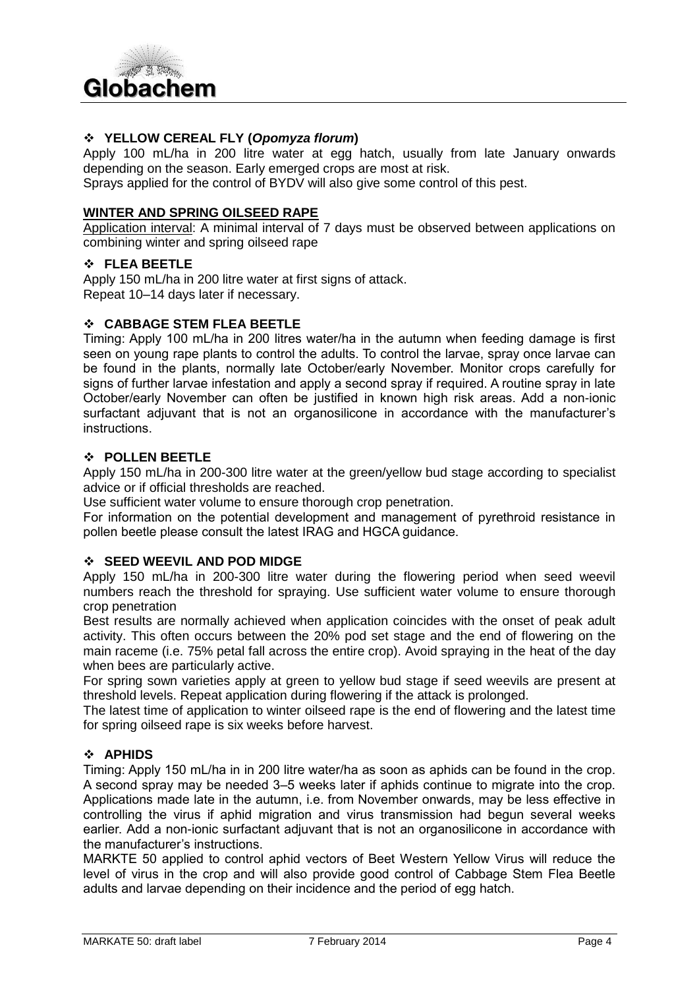

#### **YELLOW CEREAL FLY (***Opomyza florum***)**

Apply 100 mL/ha in 200 litre water at egg hatch, usually from late January onwards depending on the season. Early emerged crops are most at risk.

Sprays applied for the control of BYDV will also give some control of this pest.

#### **WINTER AND SPRING OILSEED RAPE**

Application interval: A minimal interval of 7 days must be observed between applications on combining winter and spring oilseed rape

#### **FLEA BEETLE**

Apply 150 mL/ha in 200 litre water at first signs of attack. Repeat 10–14 days later if necessary.

#### **CABBAGE STEM FLEA BEETLE**

Timing: Apply 100 mL/ha in 200 litres water/ha in the autumn when feeding damage is first seen on young rape plants to control the adults. To control the larvae, spray once larvae can be found in the plants, normally late October/early November. Monitor crops carefully for signs of further larvae infestation and apply a second spray if required. A routine spray in late October/early November can often be justified in known high risk areas. Add a non-ionic surfactant adjuvant that is not an organosilicone in accordance with the manufacturer's instructions.

#### **POLLEN BEETLE**

Apply 150 mL/ha in 200-300 litre water at the green/yellow bud stage according to specialist advice or if official thresholds are reached.

Use sufficient water volume to ensure thorough crop penetration.

For information on the potential development and management of pyrethroid resistance in pollen beetle please consult the latest IRAG and HGCA guidance.

#### **SEED WEEVIL AND POD MIDGE**

Apply 150 mL/ha in 200-300 litre water during the flowering period when seed weevil numbers reach the threshold for spraying. Use sufficient water volume to ensure thorough crop penetration

Best results are normally achieved when application coincides with the onset of peak adult activity. This often occurs between the 20% pod set stage and the end of flowering on the main raceme (i.e. 75% petal fall across the entire crop). Avoid spraying in the heat of the day when bees are particularly active.

For spring sown varieties apply at green to yellow bud stage if seed weevils are present at threshold levels. Repeat application during flowering if the attack is prolonged.

The latest time of application to winter oilseed rape is the end of flowering and the latest time for spring oilseed rape is six weeks before harvest.

#### **APHIDS**

Timing: Apply 150 mL/ha in in 200 litre water/ha as soon as aphids can be found in the crop. A second spray may be needed 3–5 weeks later if aphids continue to migrate into the crop. Applications made late in the autumn, i.e. from November onwards, may be less effective in controlling the virus if aphid migration and virus transmission had begun several weeks earlier. Add a non-ionic surfactant adjuvant that is not an organosilicone in accordance with the manufacturer's instructions.

MARKTE 50 applied to control aphid vectors of Beet Western Yellow Virus will reduce the level of virus in the crop and will also provide good control of Cabbage Stem Flea Beetle adults and larvae depending on their incidence and the period of egg hatch.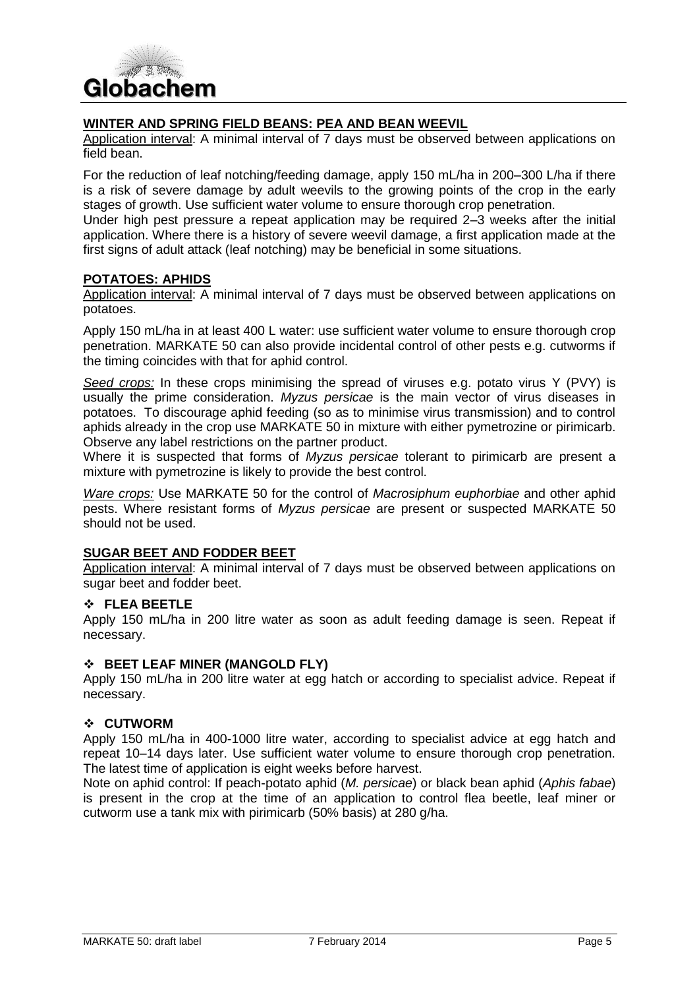

## **WINTER AND SPRING FIELD BEANS: PEA AND BEAN WEEVIL**

Application interval: A minimal interval of 7 days must be observed between applications on field bean.

For the reduction of leaf notching/feeding damage, apply 150 mL/ha in 200–300 L/ha if there is a risk of severe damage by adult weevils to the growing points of the crop in the early stages of growth. Use sufficient water volume to ensure thorough crop penetration.

Under high pest pressure a repeat application may be required 2–3 weeks after the initial application. Where there is a history of severe weevil damage, a first application made at the first signs of adult attack (leaf notching) may be beneficial in some situations.

#### **POTATOES: APHIDS**

Application interval: A minimal interval of 7 days must be observed between applications on potatoes.

Apply 150 mL/ha in at least 400 L water: use sufficient water volume to ensure thorough crop penetration. MARKATE 50 can also provide incidental control of other pests e.g. cutworms if the timing coincides with that for aphid control.

*Seed crops:* In these crops minimising the spread of viruses e.g. potato virus Y (PVY) is usually the prime consideration. *Myzus persicae* is the main vector of virus diseases in potatoes. To discourage aphid feeding (so as to minimise virus transmission) and to control aphids already in the crop use MARKATE 50 in mixture with either pymetrozine or pirimicarb. Observe any label restrictions on the partner product.

Where it is suspected that forms of *Myzus persicae* tolerant to pirimicarb are present a mixture with pymetrozine is likely to provide the best control.

*Ware crops:* Use MARKATE 50 for the control of *Macrosiphum euphorbiae* and other aphid pests. Where resistant forms of *Myzus persicae* are present or suspected MARKATE 50 should not be used.

#### **SUGAR BEET AND FODDER BEET**

Application interval: A minimal interval of 7 days must be observed between applications on sugar beet and fodder beet.

#### **FLEA BEETLE**

Apply 150 mL/ha in 200 litre water as soon as adult feeding damage is seen. Repeat if necessary.

#### **BEET LEAF MINER (MANGOLD FLY)**

Apply 150 mL/ha in 200 litre water at egg hatch or according to specialist advice. Repeat if necessary.

#### **CUTWORM**

Apply 150 mL/ha in 400-1000 litre water, according to specialist advice at egg hatch and repeat 10–14 days later. Use sufficient water volume to ensure thorough crop penetration. The latest time of application is eight weeks before harvest.

Note on aphid control: If peach-potato aphid (*M. persicae*) or black bean aphid (*Aphis fabae*) is present in the crop at the time of an application to control flea beetle, leaf miner or cutworm use a tank mix with pirimicarb (50% basis) at 280 g/ha.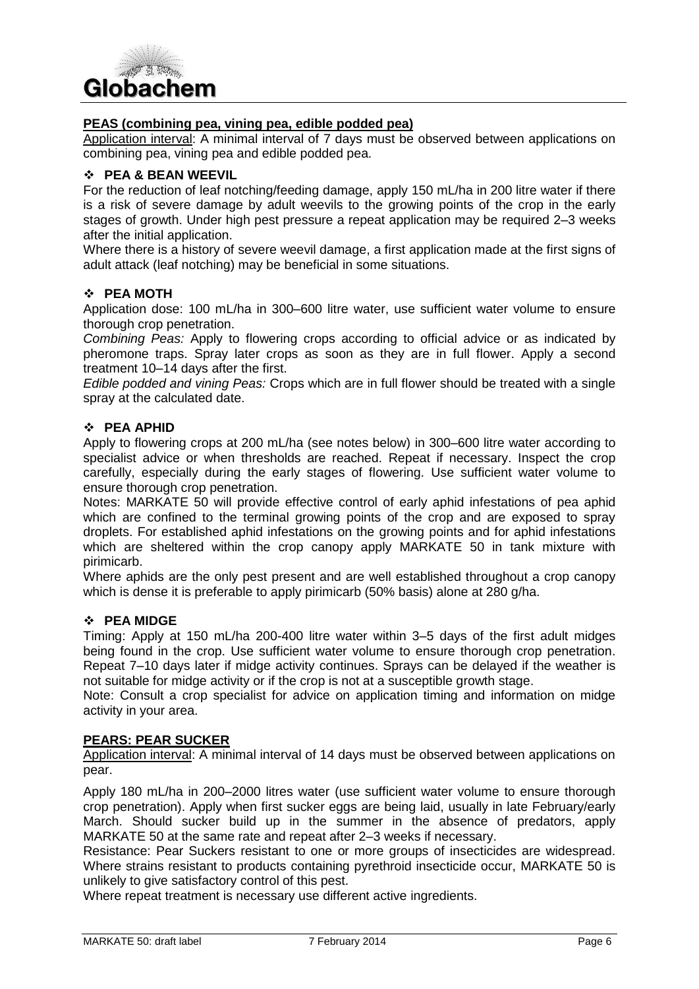

#### **PEAS (combining pea, vining pea, edible podded pea)**

Application interval: A minimal interval of 7 days must be observed between applications on combining pea, vining pea and edible podded pea.

#### **PEA & BEAN WEEVIL**

For the reduction of leaf notching/feeding damage, apply 150 mL/ha in 200 litre water if there is a risk of severe damage by adult weevils to the growing points of the crop in the early stages of growth. Under high pest pressure a repeat application may be required 2–3 weeks after the initial application.

Where there is a history of severe weevil damage, a first application made at the first signs of adult attack (leaf notching) may be beneficial in some situations.

#### **PEA MOTH**

Application dose: 100 mL/ha in 300–600 litre water, use sufficient water volume to ensure thorough crop penetration.

*Combining Peas:* Apply to flowering crops according to official advice or as indicated by pheromone traps. Spray later crops as soon as they are in full flower. Apply a second treatment 10–14 days after the first.

*Edible podded and vining Peas:* Crops which are in full flower should be treated with a single spray at the calculated date.

#### **PEA APHID**

Apply to flowering crops at 200 mL/ha (see notes below) in 300–600 litre water according to specialist advice or when thresholds are reached. Repeat if necessary. Inspect the crop carefully, especially during the early stages of flowering. Use sufficient water volume to ensure thorough crop penetration.

Notes: MARKATE 50 will provide effective control of early aphid infestations of pea aphid which are confined to the terminal growing points of the crop and are exposed to spray droplets. For established aphid infestations on the growing points and for aphid infestations which are sheltered within the crop canopy apply MARKATE 50 in tank mixture with pirimicarb.

Where aphids are the only pest present and are well established throughout a crop canopy which is dense it is preferable to apply pirimicarb (50% basis) alone at 280 g/ha.

#### **PEA MIDGE**

Timing: Apply at 150 mL/ha 200-400 litre water within 3–5 days of the first adult midges being found in the crop. Use sufficient water volume to ensure thorough crop penetration. Repeat 7–10 days later if midge activity continues. Sprays can be delayed if the weather is not suitable for midge activity or if the crop is not at a susceptible growth stage.

Note: Consult a crop specialist for advice on application timing and information on midge activity in your area.

#### **PEARS: PEAR SUCKER**

Application interval: A minimal interval of 14 days must be observed between applications on pear.

Apply 180 mL/ha in 200–2000 litres water (use sufficient water volume to ensure thorough crop penetration). Apply when first sucker eggs are being laid, usually in late February/early March. Should sucker build up in the summer in the absence of predators, apply MARKATE 50 at the same rate and repeat after 2–3 weeks if necessary.

Resistance: Pear Suckers resistant to one or more groups of insecticides are widespread. Where strains resistant to products containing pyrethroid insecticide occur, MARKATE 50 is unlikely to give satisfactory control of this pest.

Where repeat treatment is necessary use different active ingredients.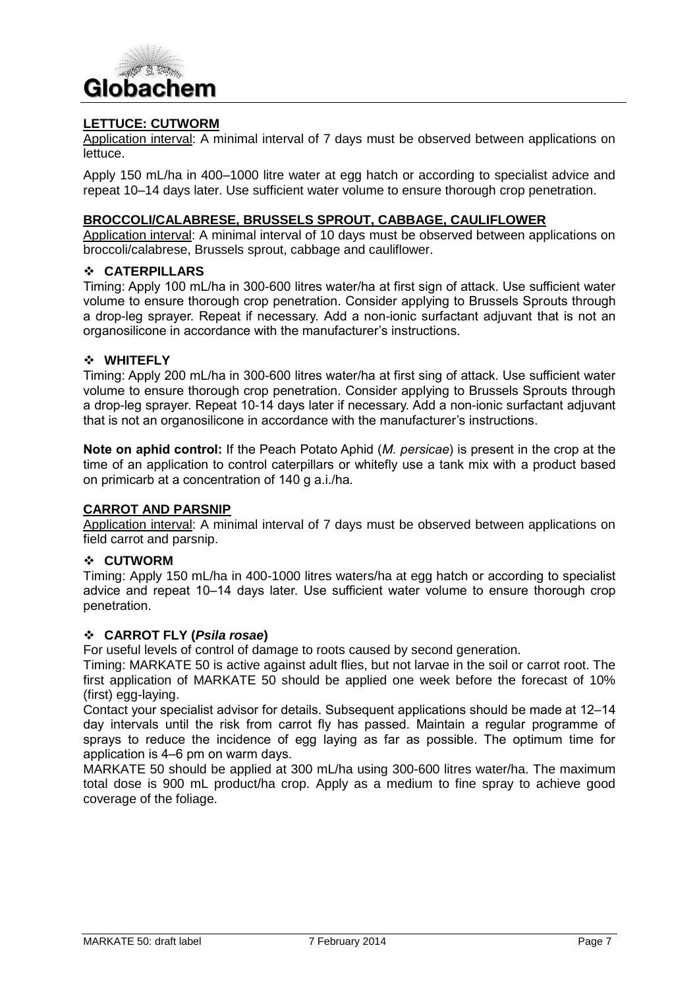

#### **LETTUCE: CUTWORM**

Application interval: A minimal interval of 7 days must be observed between applications on lettuce.

Apply 150 mL/ha in 400–1000 litre water at egg hatch or according to specialist advice and repeat 10–14 days later. Use sufficient water volume to ensure thorough crop penetration.

#### **BROCCOLI/CALABRESE, BRUSSELS SPROUT, CABBAGE, CAULIFLOWER**

Application interval: A minimal interval of 10 days must be observed between applications on broccoli/calabrese, Brussels sprout, cabbage and cauliflower.

#### **CATERPILLARS**

Timing: Apply 100 mL/ha in 300-600 litres water/ha at first sign of attack. Use sufficient water volume to ensure thorough crop penetration. Consider applying to Brussels Sprouts through a drop-leg sprayer. Repeat if necessary. Add a non-ionic surfactant adjuvant that is not an organosilicone in accordance with the manufacturer's instructions.

#### **WHITEFLY**

Timing: Apply 200 mL/ha in 300-600 litres water/ha at first sing of attack. Use sufficient water volume to ensure thorough crop penetration. Consider applying to Brussels Sprouts through a drop-leg sprayer. Repeat 10-14 days later if necessary. Add a non-ionic surfactant adjuvant that is not an organosilicone in accordance with the manufacturer's instructions.

**Note on aphid control:** If the Peach Potato Aphid (*M. persicae*) is present in the crop at the time of an application to control caterpillars or whitefly use a tank mix with a product based on primicarb at a concentration of 140 g a.i./ha.

#### **CARROT AND PARSNIP**

Application interval: A minimal interval of 7 days must be observed between applications on field carrot and parsnip.

#### **CUTWORM**

Timing: Apply 150 mL/ha in 400-1000 litres waters/ha at egg hatch or according to specialist advice and repeat 10–14 days later. Use sufficient water volume to ensure thorough crop penetration.

#### **CARROT FLY (***Psila rosae***)**

For useful levels of control of damage to roots caused by second generation.

Timing: MARKATE 50 is active against adult flies, but not larvae in the soil or carrot root. The first application of MARKATE 50 should be applied one week before the forecast of 10% (first) egg-laying.

Contact your specialist advisor for details. Subsequent applications should be made at 12–14 day intervals until the risk from carrot fly has passed. Maintain a regular programme of sprays to reduce the incidence of egg laying as far as possible. The optimum time for application is 4–6 pm on warm days.

MARKATE 50 should be applied at 300 mL/ha using 300-600 litres water/ha. The maximum total dose is 900 mL product/ha crop. Apply as a medium to fine spray to achieve good coverage of the foliage.